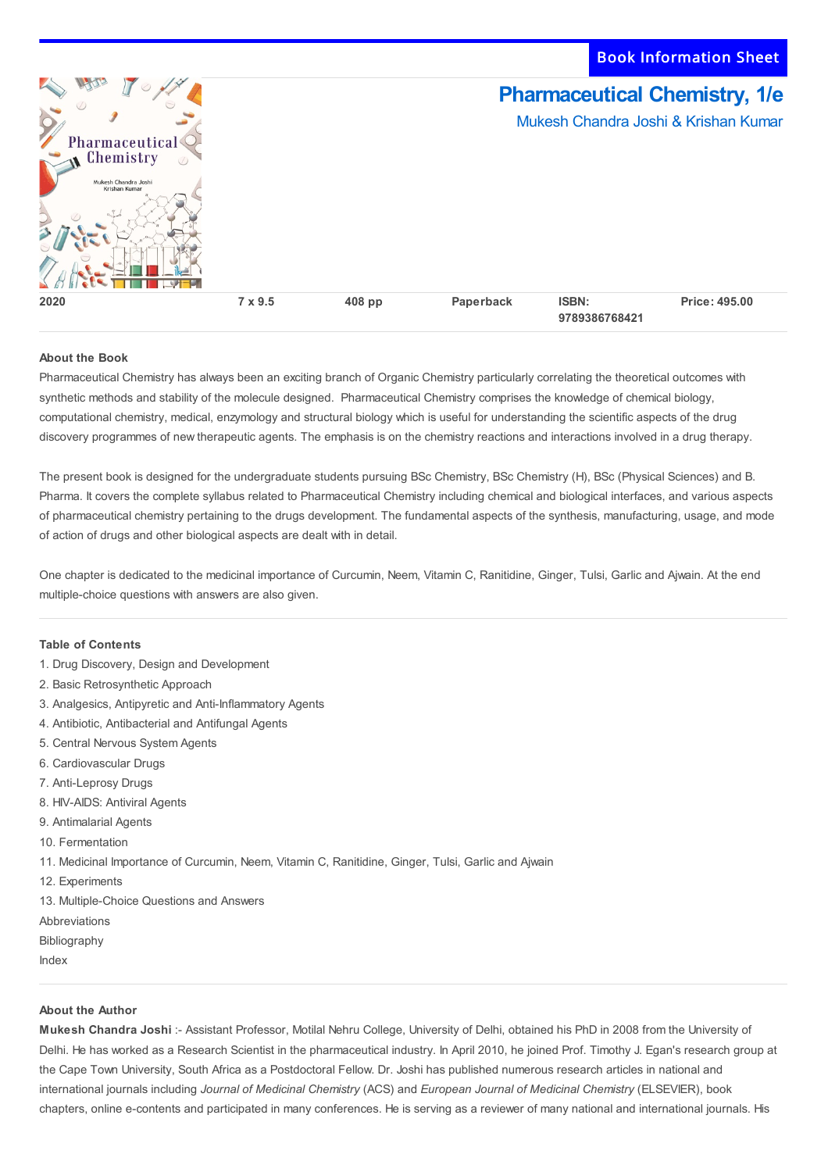Book Information Sheet



## **About the Book**

Pharmaceutical Chemistry has always been an exciting branch of Organic Chemistry particularly correlating the theoretical outcomes with synthetic methods and stability of the molecule designed. Pharmaceutical Chemistry comprises the knowledge of chemical biology, computational chemistry, medical, enzymology and structural biology which is useful for understanding the scientific aspects of the drug discovery programmes of new therapeutic agents. The emphasis is on the chemistry reactions and interactions involved in a drug therapy.

The present book is designed for the undergraduate students pursuing BSc Chemistry, BSc Chemistry (H), BSc (Physical Sciences) and B. Pharma. It covers the complete syllabus related to Pharmaceutical Chemistry including chemical and biological interfaces, and various aspects of pharmaceutical chemistry pertaining to the drugs development. The fundamental aspects of the synthesis, manufacturing, usage, and mode of action of drugs and other biological aspects are dealt with in detail.

One chapter is dedicated to the medicinal importance of Curcumin, Neem, Vitamin C, Ranitidine, Ginger, Tulsi, Garlic and Ajwain. At the end multiple-choice questions with answers are also given.

## **Table of Contents**

- 1. Drug Discovery, Design and Development
- 2. Basic Retrosynthetic Approach
- 3. Analgesics, Antipyretic and Anti-Inflammatory Agents
- 4. Antibiotic, Antibacterial and Antifungal Agents
- 5. Central Nervous System Agents
- 6. Cardiovascular Drugs
- 7. Anti-Leprosy Drugs
- 8. HIV-AIDS: Antiviral Agents
- 9. Antimalarial Agents
- 10. Fermentation
- 11. Medicinal Importance of Curcumin, Neem, Vitamin C, Ranitidine, Ginger, Tulsi, Garlic and Ajwain
- 12. Experiments
- 13. Multiple-Choice Questions and Answers
- Abbreviations
- Bibliography
- Index

## **About the Author**

**Mukesh Chandra Joshi** :- Assistant Professor, Motilal Nehru College, University of Delhi, obtained his PhD in 2008 from the University of Delhi. He has worked as a Research Scientist in the pharmaceutical industry. In April 2010, he joined Prof. Timothy J. Egan's research group at the Cape Town University, South Africa as a Postdoctoral Fellow. Dr. Joshi has published numerous research articles in national and international journals including *Journal of Medicinal Chemistry* (ACS) and *European Journal of Medicinal Chemistry* (ELSEVIER), book chapters, online e-contents and participated in many conferences. He is serving as a reviewer of many national and international journals. His